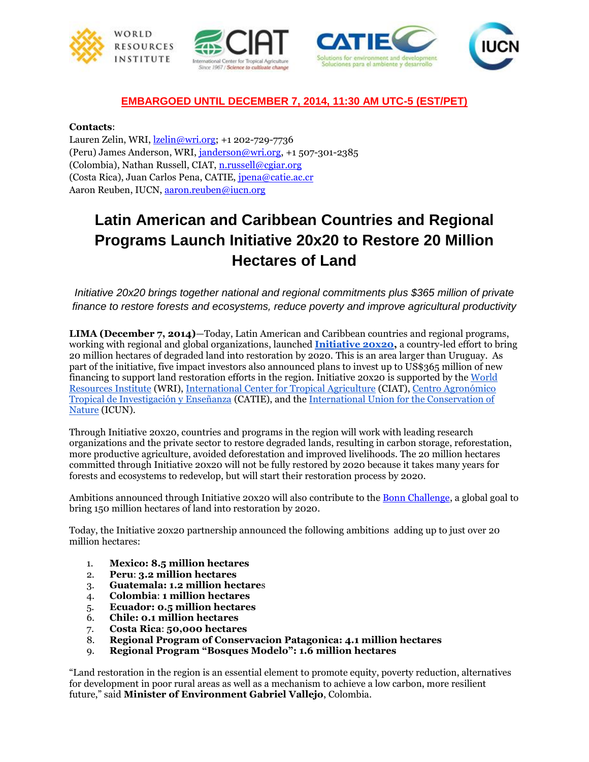







## **EMBARGOED UNTIL DECEMBER 7, 2014, 11:30 AM UTC-5 (EST/PET)**

## **Contacts**:

Lauren Zelin, WRI, [lzelin@wri.org;](mailto:lzelin@wri.org) +1 202-729-7736 (Peru) James Anderson, WRI, [janderson@wri.org,](mailto:janderson@wri.org) +1 507-301-2385 (Colombia), Nathan Russell, CIAT, [n.russell@cgiar.org](mailto:n.russell@cgiar.org) (Costa Rica), Juan Carlos Pena, CATIE, [jpena@catie.ac.cr](mailto:jpena@catie.ac.cr) Aaron Reuben, IUCN, [aaron.reuben@iucn.org](mailto:aaron.reuben@iucn.org)

## **Latin American and Caribbean Countries and Regional Programs Launch Initiative 20x20 to Restore 20 Million Hectares of Land**

*Initiative 20x20 brings together national and regional commitments plus \$365 million of private finance to restore forests and ecosystems, reduce poverty and improve agricultural productivity*

**LIMA (December 7, 2014)**—Today, Latin American and Caribbean countries and regional programs, working with regional and global organizations, launched **[Initiative 20x20,](http://www.initiative20x20.com/)** a country-led effort to bring 20 million hectares of degraded land into restoration by 2020. This is an area larger than Uruguay. As part of the initiative, five impact investors also announced plans to invest up to US\$365 million of new financing to support land restoration efforts in the region. Initiative 20x20 is supported by the [World](http://www.wri.org/)  [Resources Institute](http://www.wri.org/) (WRI), [International Center for Tropical Agriculture](http://ciat.cgiar.org/) (CIAT)[,](http://www.catie.ac.cr/) [Centro Agronómico](http://www.catie.ac.cr/)  [Tropical de Investigación y Enseñanza](http://www.catie.ac.cr/) (CATIE), and the [International Union for the Conservation of](http://www.iucn.org/)  [Nature](http://www.iucn.org/) (ICUN).

Through Initiative 20x20, countries and programs in the region will work with leading research organizations and the private sector to restore degraded lands, resulting in carbon storage, reforestation, more productive agriculture, avoided deforestation and improved livelihoods. The 20 million hectares committed through Initiative 20x20 will not be fully restored by 2020 because it takes many years for forests and ecosystems to redevelop, but will start their restoration process by 2020.

Ambitions announced through Initiative 20x20 will also contribute to the [Bonn Challenge,](http://www.forestlandscaperestoration.org/topic/bonn-challenge) a global goal to bring 150 million hectares of land into restoration by 2020.

Today, the Initiative 20x20 partnership announced the following ambitions adding up to just over 20 million hectares:

- 1. **Mexico: 8.5 million hectares**
- 2. **Peru**: **3.2 million hectares**
- 3. **Guatemala: 1.2 million hectare**s
- 4. **Colombia**: **1 million hectares**
- 5. **Ecuador: 0.5 million hectares**
- 6. **Chile: 0.1 million hectares**
- 7. **Costa Rica**: **50,000 hectares**
- 8. **Regional Program of Conservacion Patagonica: 4.1 million hectares**
- 9. **Regional Program "Bosques Modelo": 1.6 million hectares**

"Land restoration in the region is an essential element to promote equity, poverty reduction, alternatives for development in poor rural areas as well as a mechanism to achieve a low carbon, more resilient future," said **Minister of Environment Gabriel Vallejo**, Colombia.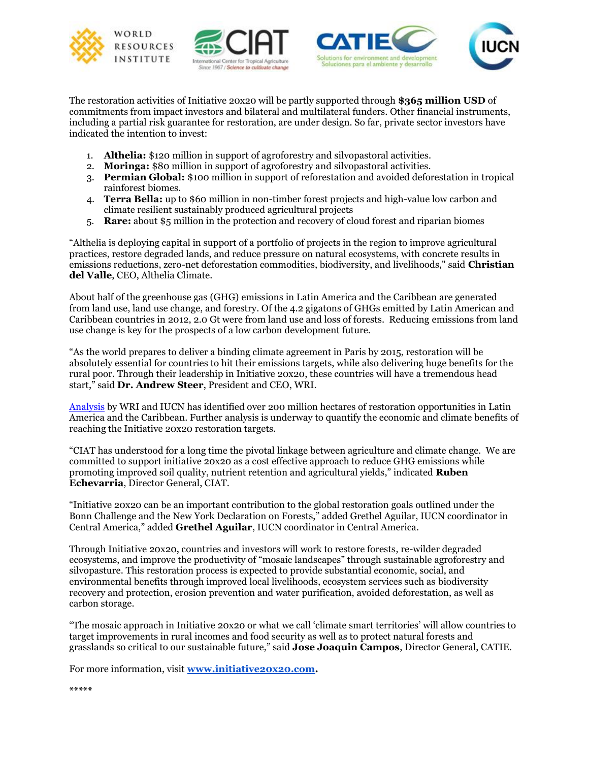







The restoration activities of Initiative 20x20 will be partly supported through **\$365 million USD** of commitments from impact investors and bilateral and multilateral funders. Other financial instruments, including a partial risk guarantee for restoration, are under design. So far, private sector investors have indicated the intention to invest:

- 1. **Althelia:** \$120 million in support of agroforestry and silvopastoral activities.
- 2. **Moringa:** \$80 million in support of agroforestry and silvopastoral activities.
- 3. **Permian Global:** \$100 million in support of reforestation and avoided deforestation in tropical rainforest biomes.
- 4. **Terra Bella:** up to \$60 million in non-timber forest projects and high-value low carbon and climate resilient sustainably produced agricultural projects
- 5. **Rare:** about \$5 million in the protection and recovery of cloud forest and riparian biomes

"Althelia is deploying capital in support of a portfolio of projects in the region to improve agricultural practices, restore degraded lands, and reduce pressure on natural ecosystems, with concrete results in emissions reductions, zero-net deforestation commodities, biodiversity, and livelihoods," said **Christian del Valle**, CEO, Althelia Climate.

About half of the greenhouse gas (GHG) emissions in Latin America and the Caribbean are generated from land use, land use change, and forestry. Of the 4.2 gigatons of GHGs emitted by Latin American and Caribbean countries in 2012, 2.0 Gt were from land use and loss of forests. Reducing emissions from land use change is key for the prospects of a low carbon development future.

"As the world prepares to deliver a binding climate agreement in Paris by 2015, restoration will be absolutely essential for countries to hit their emissions targets, while also delivering huge benefits for the rural poor. Through their leadership in Initiative 20x20, these countries will have a tremendous head start," said **Dr. Andrew Steer**, President and CEO, WRI.

[Analysis](http://www.wri.org/resources/maps/atlas-forest-and-landscape-restoration-opportunities) by WRI and IUCN has identified over 200 million hectares of restoration opportunities in Latin America and the Caribbean. Further analysis is underway to quantify the economic and climate benefits of reaching the Initiative 20x20 restoration targets.

"CIAT has understood for a long time the pivotal linkage between agriculture and climate change. We are committed to support initiative 20x20 as a cost effective approach to reduce GHG emissions while promoting improved soil quality, nutrient retention and agricultural yields," indicated **Ruben Echevarria**, Director General, CIAT.

"Initiative 20x20 can be an important contribution to the global restoration goals outlined under the Bonn Challenge and the New York Declaration on Forests," added Grethel Aguilar, IUCN coordinator in Central America," added **Grethel Aguilar**, IUCN coordinator in Central America.

Through Initiative 20x20, countries and investors will work to restore forests, re-wilder degraded ecosystems, and improve the productivity of "mosaic landscapes" through sustainable agroforestry and silvopasture. This restoration process is expected to provide substantial economic, social, and environmental benefits through improved local livelihoods, ecosystem services such as biodiversity recovery and protection, erosion prevention and water purification, avoided deforestation, as well as carbon storage.

"The mosaic approach in Initiative 20x20 or what we call 'climate smart territories' will allow countries to target improvements in rural incomes and food security as well as to protect natural forests and grasslands so critical to our sustainable future," said **Jose Joaquin Campos**, Director General, CATIE.

For more information, visit **[www.initiative20x20.com.](http://www.initiative20x20.com/)**

**\*\*\*\*\***